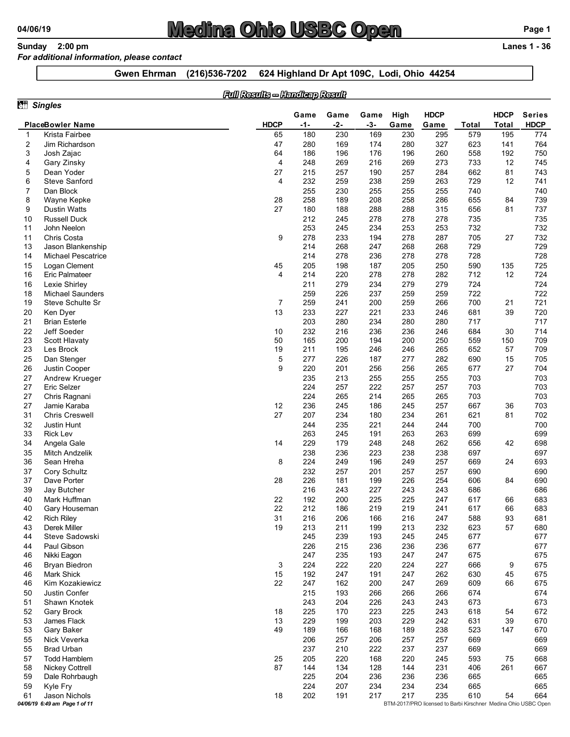### 04/06/19<br>
Sunday 2:00 pm<br>
For additional information, please contact<br>
Gwen Ehrman (216)536-7202 624 Highland Dr Apt 109C, Lodi, Ohio 44254<br>
Gwen Ehrman (216)536-7202 624 Highland Dr Apt 109C, Lodi, Ohio 44254  $\frac{04}{106}$   $\frac{0}{100}$   $\frac{0}{100}$   $\frac{0}{100}$   $\frac{0}{100}$   $\frac{0}{100}$   $\frac{0}{100}$   $\frac{0}{100}$   $\frac{0}{100}$   $\frac{0}{100}$   $\frac{0}{100}$   $\frac{0}{100}$   $\frac{0}{100}$   $\frac{0}{100}$   $\frac{0}{100}$   $\frac{0}{100}$   $\frac{0}{100}$   $\frac{0}{100}$   $\frac{$

### For additional information, please contact

### Full Results -- Handicap Result

|                       | 2:00 pm<br><b>Sunday</b>                    |                    | <b>Medina Ohio USBC Open</b> |                                |            |            |            |            |                                                                       |            |              | Page 1<br><b>Lanes 1 - 36</b> |
|-----------------------|---------------------------------------------|--------------------|------------------------------|--------------------------------|------------|------------|------------|------------|-----------------------------------------------------------------------|------------|--------------|-------------------------------|
|                       | For additional information, please contact  | <b>Gwen Ehrman</b> | (216)536-7202                |                                |            |            |            |            | 624 Highland Dr Apt 109C, Lodi, Ohio 44254                            |            |              |                               |
|                       |                                             |                    |                              | Full Results - Handleap Result |            |            |            |            |                                                                       |            |              |                               |
|                       | <b>Singles</b>                              |                    |                              |                                | Game       | Game       | Game       | High       | <b>HDCP</b>                                                           |            | <b>HDCP</b>  | <b>Series</b>                 |
|                       | <b>PlaceBowler Name</b>                     |                    |                              | <b>HDCP</b>                    | $-1-$      | $-2-$      | $-3-$      | Game       | Game                                                                  | Total      | <b>Total</b> | <b>HDCP</b>                   |
| - 1<br>$\overline{2}$ | Krista Fairbee<br>Jim Richardson            |                    |                              | 65<br>47                       | 180<br>280 | 230<br>169 | 169<br>174 | 230<br>280 | 295<br>327                                                            | 579<br>623 | 195<br>141   | 774<br>764                    |
| 3                     | Josh Zajac                                  |                    |                              | 64                             | 186        | 196        | 176        | 196        | 260                                                                   | 558        | 192          | 750                           |
| 4<br>5                | Gary Zinsky<br>Dean Yoder                   |                    |                              | $\overline{4}$<br>27           | 248<br>215 | 269<br>257 | 216<br>190 | 269<br>257 | 273<br>284                                                            | 733<br>662 | 12<br>81     | 745<br>743                    |
| 6                     | <b>Steve Sanford</b>                        |                    |                              | $\overline{4}$                 | 232        | 259        | 238        | 259        | 263                                                                   | 729        | 12           | 741                           |
| $\overline{7}$<br>8   | Dan Block<br>Wayne Kepke                    |                    |                              | 28                             | 255<br>258 | 230<br>189 | 255<br>208 | 255<br>258 | 255<br>286                                                            | 740<br>655 | 84           | 740<br>739                    |
| 9                     | <b>Dustin Watts</b>                         |                    |                              | 27                             | 180        | 188        | 288        | 288        | 315                                                                   | 656        | 81           | 737                           |
| 10                    | <b>Russell Duck</b>                         |                    |                              |                                | 212        | 245        | 278        | 278        | 278                                                                   | 735        |              | 735                           |
| 11<br>11              | John Neelon<br>Chris Costa                  |                    |                              | 9                              | 253<br>278 | 245<br>233 | 234<br>194 | 253<br>278 | 253<br>287                                                            | 732<br>705 | 27           | 732<br>732                    |
| 13                    | Jason Blankenship                           |                    |                              |                                | 214        | 268        | 247        | 268        | 268                                                                   | 729        |              | 729                           |
| 14                    | Michael Pescatrice<br>Logan Clement         |                    |                              | 45                             | 214<br>205 | 278<br>198 | 236<br>187 | 278<br>205 | 278<br>250                                                            | 728<br>590 | 135          | 728<br>725                    |
| 15<br>16              | Eric Palmateer                              |                    |                              | Δ                              | 214        | 220        | 278        | 278        | 282                                                                   | 712        | 12           | 724                           |
| 16                    | Lexie Shirley                               |                    |                              |                                | 211        | 279        | 234        | 279        | 279                                                                   | 724        |              | 724                           |
| 18<br>19              | <b>Michael Saunders</b><br>Steve Schulte Sr |                    |                              | 7                              | 259<br>259 | 226<br>241 | 237<br>200 | 259<br>259 | 259<br>266                                                            | 722<br>700 | 21           | 722<br>721                    |
| 20                    | Ken Dyer                                    |                    |                              | 13                             | 233        | 227        | 221        | 233        | 246                                                                   | 681        | 39           | 720                           |
| 21                    | <b>Brian Esterle</b><br>Jeff Soeder         |                    |                              |                                | 203        | 280        | 234        | 280        | 280<br>246                                                            | 717        |              | 717                           |
| 22<br>23              | Scott Hlavaty                               |                    |                              | 10<br>50                       | 232<br>165 | 216<br>200 | 236<br>194 | 236<br>200 | 250                                                                   | 684<br>559 | 30<br>150    | 714<br>709                    |
| 23                    | Les Brock                                   |                    |                              | 19                             | 211        | 195        | 246        | 246        | 265                                                                   | 652        | 57           | 709                           |
| 25<br>26              | Dan Stenger<br>Justin Cooper                |                    |                              | 5<br>9                         | 277<br>220 | 226<br>201 | 187<br>256 | 277<br>256 | 282<br>265                                                            | 690<br>677 | 15<br>27     | 705<br>704                    |
| 27                    | Andrew Krueger                              |                    |                              |                                | 235        | 213        | 255        | 255        | 255                                                                   | 703        |              | 703                           |
| 27                    | Eric Selzer<br>Chris Ragnani                |                    |                              |                                | 224<br>224 | 257<br>265 | 222<br>214 | 257<br>265 | 257<br>265                                                            | 703<br>703 |              | 703<br>703                    |
| 27<br>27              | Jamie Karaba                                |                    |                              | 12                             | 236        | 245        | 186        | 245        | 257                                                                   | 667        | 36           | 703                           |
| 31                    | <b>Chris Creswell</b>                       |                    |                              | 27                             | 207        | 234        | 180        | 234        | 261                                                                   | 621        | 81           | 702                           |
| 32<br>33              | Justin Hunt<br><b>Rick Lev</b>              |                    |                              |                                | 244<br>263 | 235<br>245 | 221<br>191 | 244<br>263 | 244<br>263                                                            | 700<br>699 |              | 700<br>699                    |
| 34                    | Angela Gale                                 |                    |                              | 14                             | 229        | 179        | 248        | 248        | 262                                                                   | 656        | 42           | 698                           |
| 35                    | Mitch Andzelik                              |                    |                              |                                | 238        | 236        | 223        | 238        | 238                                                                   | 697        |              | 697                           |
| 36<br>37              | Sean Hreha<br>Cory Schultz                  |                    |                              | 8                              | 224<br>232 | 249<br>257 | 196<br>201 | 249<br>257 | 257<br>257                                                            | 669<br>690 | 24           | 693<br>690                    |
| 37                    | Dave Porter                                 |                    |                              | 28                             | 226        | 181        | 199        | 226        | 254                                                                   | 606        | 84           | 690                           |
| 39<br>40              | Jay Butcher<br>Mark Huffman                 |                    |                              |                                | 216<br>192 | 243<br>200 | 227<br>225 | 243<br>225 | 243<br>247                                                            | 686<br>617 |              | 686<br>683                    |
| 40                    | Gary Houseman                               |                    |                              | 22<br>22                       | 212        | 186        | 219        | 219        | 241                                                                   | 617        | 66<br>66     | 683                           |
| 42                    | <b>Rich Riley</b>                           |                    |                              | 31                             | 216        | 206        | 166        | 216        | 247                                                                   | 588        | 93           | 681                           |
| 43<br>44              | Derek Miller<br>Steve Sadowski              |                    |                              | 19                             | 213<br>245 | 211<br>239 | 199<br>193 | 213<br>245 | 232<br>245                                                            | 623<br>677 | 57           | 680<br>677                    |
| 44                    | Paul Gibson                                 |                    |                              |                                | 226        | 215        | 236        | 236        | 236                                                                   | 677        |              | 677                           |
| 46                    | Nikki Eagon                                 |                    |                              |                                | 247        | 235        | 193        | 247        | 247                                                                   | 675        |              | 675                           |
| 46<br>46              | <b>Bryan Biedron</b><br><b>Mark Shick</b>   |                    |                              | 3<br>15                        | 224<br>192 | 222<br>247 | 220<br>191 | 224<br>247 | 227<br>262                                                            | 666<br>630 | 9<br>45      | 675<br>675                    |
| 46                    | Kim Kozakiewicz                             |                    |                              | 22                             | 247        | 162        | 200        | 247        | 269                                                                   | 609        | 66           | 675                           |
| 50                    | Justin Confer                               |                    |                              |                                | 215        | 193        | 266        | 266        | 266                                                                   | 674<br>673 |              | 674<br>673                    |
| 51<br>52              | Shawn Knotek<br>Gary Brock                  |                    |                              | 18                             | 243<br>225 | 204<br>170 | 226<br>223 | 243<br>225 | 243<br>243                                                            | 618        | 54           | 672                           |
| 53                    | James Flack                                 |                    |                              | 13                             | 229        | 199        | 203        | 229        | 242                                                                   | 631        | 39           | 670                           |
| 53                    | Gary Baker                                  |                    |                              | 49                             | 189        | 166        | 168        | 189        | 238                                                                   | 523        | 147          | 670                           |
| 55<br>55              | Nick Veverka<br><b>Brad Urban</b>           |                    |                              |                                | 206<br>237 | 257<br>210 | 206<br>222 | 257<br>237 | 257<br>237                                                            | 669<br>669 |              | 669<br>669                    |
| 57                    | <b>Todd Hamblem</b>                         |                    |                              | 25                             | 205        | 220        | 168        | 220        | 245                                                                   | 593        | 75           | 668                           |
| 58                    | <b>Nickey Cottrell</b>                      |                    |                              | 87                             | 144        | 134        | 128        | 144        | 231                                                                   | 406        | 261          | 667                           |
| 59<br>59              | Dale Rohrbaugh<br>Kyle Fry                  |                    |                              |                                | 225<br>224 | 204<br>207 | 236<br>234 | 236<br>234 | 236<br>234                                                            | 665<br>665 |              | 665<br>665                    |
| 61                    | Jason Nichols                               |                    |                              | 18                             | 202        | 191        | 217        | 217        | 235<br>BTM-2017/PRO licensed to Barbi Kirschner Medina Ohio USBC Open | 610        | 54           | 664                           |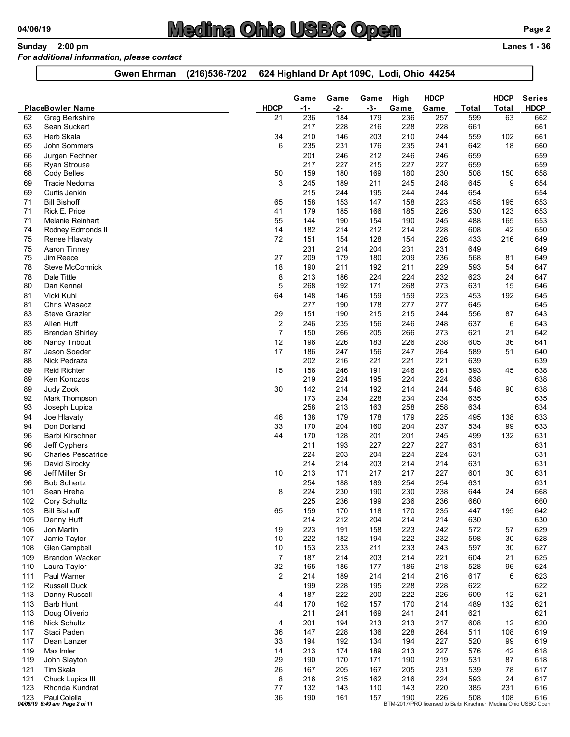# 04/06/19<br>
Sunday 2:00 pm<br>
For additional information, please contact<br>
Gwen Ehrman (216)536-7202 624 Highland Dr Apt 109C, Lodi, Ohio 44254<br>
Gwen Ehrman (216)536-7202 624 Highland Dr Apt 109C, Lodi, Ohio 44254

### For additional information, please contact

|            | Sunday 2:00 pm                                    | <u>Medina Ohio USBC Open</u><br>For additional information, please contact |                                  |            |              |              |             |                                                                                       |              |             | Page 2<br><b>Lanes 1 - 36</b> |
|------------|---------------------------------------------------|----------------------------------------------------------------------------|----------------------------------|------------|--------------|--------------|-------------|---------------------------------------------------------------------------------------|--------------|-------------|-------------------------------|
|            |                                                   | (216) 536-7202<br><b>Gwen Ehrman</b>                                       |                                  |            |              |              |             | 624 Highland Dr Apt 109C, Lodi, Ohio 44254                                            |              |             |                               |
|            |                                                   |                                                                            |                                  | Game       | Game         | Game         | High        | <b>HDCP</b>                                                                           |              | <b>HDCP</b> | <b>Series</b>                 |
| 62         | <b>PlaceBowler Name</b><br>Greg Berkshire         |                                                                            | <b>HDCP</b><br>21                | -1-<br>236 | $-2-$<br>184 | $-3-$<br>179 | Game<br>236 | Game<br>257                                                                           | Total<br>599 | Total<br>63 | <b>HDCP</b><br>662            |
| 63         | Sean Suckart                                      |                                                                            |                                  | 217        | 228          | 216          | 228         | 228<br>244                                                                            | 661          |             | 661                           |
| 63<br>65   | Herb Skala<br>John Sommers                        |                                                                            | 34<br>6                          | 210<br>235 | 146<br>231   | 203<br>176   | 210<br>235  | 241                                                                                   | 559<br>642   | 102<br>18   | 661<br>660                    |
| 66<br>66   | Jurgen Fechner<br>Ryan Strouse                    |                                                                            |                                  | 201<br>217 | 246<br>227   | 212<br>215   | 246<br>227  | 246<br>227                                                                            | 659<br>659   |             | 659<br>659                    |
| 68         | Cody Belles                                       |                                                                            | 50                               | 159        | 180          | 169          | 180         | 230                                                                                   | 508          | 150         | 658                           |
| 69<br>69   | <b>Tracie Nedoma</b><br>Curtis Jenkin             |                                                                            | 3                                | 245<br>215 | 189<br>244   | 211<br>195   | 245<br>244  | 248<br>244                                                                            | 645<br>654   | 9           | 654<br>654                    |
| 71         | <b>Bill Bishoff</b>                               |                                                                            | 65                               | 158        | 153          | 147          | 158         | 223                                                                                   | 458          | 195         | 653                           |
| 71<br>71   | Rick E. Price<br>Melanie Reinhart                 |                                                                            | 41<br>55                         | 179<br>144 | 185<br>190   | 166<br>154   | 185<br>190  | 226<br>245                                                                            | 530<br>488   | 123<br>165  | 653<br>653                    |
| 74         | Rodney Edmonds II                                 |                                                                            | 14                               | 182        | 214          | 212          | 214         | 228                                                                                   | 608          | 42          | 650                           |
| 75<br>75   | Renee Hlavaty<br>Aaron Tinney                     |                                                                            | 72                               | 151<br>231 | 154<br>214   | 128<br>204   | 154<br>231  | 226<br>231                                                                            | 433<br>649   | 216         | 649<br>649                    |
| 75         | Jim Reece                                         |                                                                            | 27                               | 209        | 179          | 180          | 209         | 236                                                                                   | 568          | 81          | 649                           |
| 78<br>78   | Steve McCormick<br>Dale Tittle                    |                                                                            | 18<br>8                          | 190<br>213 | 211<br>186   | 192<br>224   | 211<br>224  | 229<br>232                                                                            | 593<br>623   | 54<br>24    | 647<br>647                    |
| 80         | Dan Kennel                                        |                                                                            | 5                                | 268        | 192          | 171          | 268         | 273                                                                                   | 631          | 15          | 646                           |
| 81<br>81   | Vicki Kuhl<br>Chris Wasacz                        |                                                                            | 64                               | 148<br>277 | 146<br>190   | 159<br>178   | 159<br>277  | 223<br>277                                                                            | 453<br>645   | 192         | 645<br>645                    |
| 83         | <b>Steve Grazier</b>                              |                                                                            | 29                               | 151        | 190          | 215          | 215         | 244                                                                                   | 556          | 87          | 643                           |
| 83<br>85   | Allen Huff<br><b>Brendan Shirley</b>              |                                                                            | $\overline{2}$<br>$\overline{7}$ | 246<br>150 | 235<br>266   | 156<br>205   | 246<br>266  | 248<br>273                                                                            | 637<br>621   | 6<br>21     | 643<br>642                    |
| 86         | <b>Nancy Tribout</b>                              |                                                                            | 12                               | 196        | 226          | 183          | 226         | 238                                                                                   | 605          | 36          | 641                           |
| 87<br>88   | Jason Soeder<br>Nick Pedraza                      |                                                                            | 17                               | 186<br>202 | 247<br>216   | 156<br>221   | 247<br>221  | 264<br>221                                                                            | 589<br>639   | 51          | 640<br>639                    |
| 89         | <b>Reid Richter</b>                               |                                                                            | 15                               | 156        | 246          | 191          | 246         | 261                                                                                   | 593          | 45          | 638                           |
| 89<br>89   | Ken Konczos<br>Judy Zook                          |                                                                            | 30                               | 219<br>142 | 224<br>214   | 195<br>192   | 224<br>214  | 224<br>244                                                                            | 638<br>548   | 90          | 638<br>638                    |
| 92         | Mark Thompson                                     |                                                                            |                                  | 173        | 234          | 228          | 234         | 234                                                                                   | 635          |             | 635                           |
| 93<br>94   | Joseph Lupica<br>Joe Hlavaty                      |                                                                            | 46                               | 258<br>138 | 213<br>179   | 163<br>178   | 258<br>179  | 258<br>225                                                                            | 634<br>495   | 138         | 634<br>633                    |
| 94         | Don Dorland                                       |                                                                            | 33                               | 170        | 204          | 160          | 204         | 237                                                                                   | 534          | 99          | 633                           |
| 96<br>96   | Barbi Kirschner<br>Jeff Cyphers                   |                                                                            | 44                               | 170<br>211 | 128<br>193   | 201<br>227   | 201<br>227  | 245<br>227                                                                            | 499<br>631   | 132         | 631<br>631                    |
| 96         | <b>Charles Pescatrice</b>                         |                                                                            |                                  | 224        | 203          | 204          | 224         | 224                                                                                   | 631          |             | 631                           |
| 96<br>96   | David Sirocky<br>Jeff Miller Sr                   |                                                                            | 10                               | 214<br>213 | 214<br>171   | 203<br>217   | 214<br>217  | 214<br>227                                                                            | 631<br>601   | 30          | 631<br>631                    |
| 96         | <b>Bob Schertz</b>                                |                                                                            |                                  | 254        | 188          | 189          | 254         | 254                                                                                   | 631          |             | 631                           |
| 101<br>102 | Sean Hreha<br>Cory Schultz                        |                                                                            | 8                                | 224<br>225 | 230<br>236   | 190<br>199   | 230<br>236  | 238<br>236                                                                            | 644<br>660   | 24          | 668<br>660                    |
| 103        | <b>Bill Bishoff</b>                               |                                                                            | 65                               | 159        | 170          | 118          | 170         | 235                                                                                   | 447          | 195         | 642                           |
| 105<br>106 | Denny Huff<br>Jon Martin                          |                                                                            | 19                               | 214<br>223 | 212<br>191   | 204<br>158   | 214<br>223  | 214<br>242                                                                            | 630<br>572   | 57          | 630<br>629                    |
| 107        | Jamie Taylor                                      |                                                                            | 10                               | 222        | 182          | 194          | 222         | 232                                                                                   | 598          | 30          | 628                           |
| 108<br>109 | Glen Campbell<br><b>Brandon Wacker</b>            |                                                                            | 10<br>$\overline{7}$             | 153<br>187 | 233<br>214   | 211<br>203   | 233<br>214  | 243<br>221                                                                            | 597<br>604   | 30<br>21    | 627<br>625                    |
| 110        | Laura Taylor                                      |                                                                            | 32                               | 165        | 186          | 177          | 186         | 218                                                                                   | 528          | 96          | 624                           |
| 111<br>112 | Paul Warner<br><b>Russell Duck</b>                |                                                                            | $\overline{2}$                   | 214<br>199 | 189<br>228   | 214<br>195   | 214<br>228  | 216<br>228                                                                            | 617<br>622   | 6           | 623<br>622                    |
| 113        | Danny Russell                                     |                                                                            | 4                                | 187        | 222          | 200          | 222         | 226                                                                                   | 609          | 12          | 621                           |
| 113        | <b>Barb Hunt</b>                                  |                                                                            | 44                               | 170        | 162          | 157          | 170         | 214                                                                                   | 489          | 132         | 621                           |
| 113<br>116 | Doug Oliverio<br><b>Nick Schultz</b>              |                                                                            | 4                                | 211<br>201 | 241<br>194   | 169<br>213   | 241<br>213  | 241<br>217                                                                            | 621<br>608   | 12          | 621<br>620                    |
| 117        | Staci Paden                                       |                                                                            | 36                               | 147        | 228          | 136          | 228         | 264                                                                                   | 511          | 108         | 619                           |
| 117<br>119 | Dean Lanzer<br>Max Imler                          |                                                                            | 33<br>14                         | 194<br>213 | 192<br>174   | 134<br>189   | 194<br>213  | 227<br>227                                                                            | 520<br>576   | 99<br>42    | 619<br>618                    |
| 119        | John Slayton                                      |                                                                            | 29                               | 190        | 170          | 171          | 190         | 219                                                                                   | 531          | 87          | 618                           |
| 121        | Tim Skala                                         |                                                                            | 26                               | 167        | 205          | 167          | 205         | 231                                                                                   | 539          | 78          | 617                           |
| 121<br>123 | Chuck Lupica III<br>Rhonda Kundrat                |                                                                            | 8<br>77                          | 216<br>132 | 215<br>143   | 162<br>110   | 216<br>143  | 224<br>220                                                                            | 593<br>385   | 24<br>231   | 617<br>616                    |
|            | 123 Paul Colella<br>04/06/19 6:49 am Page 2 of 11 |                                                                            | 36                               | 190        | 161          | 157          |             | 190 226 508 108 616<br>BTM-2017/PRO licensed to Barbi Kirschner Medina Ohio USBC Open |              |             |                               |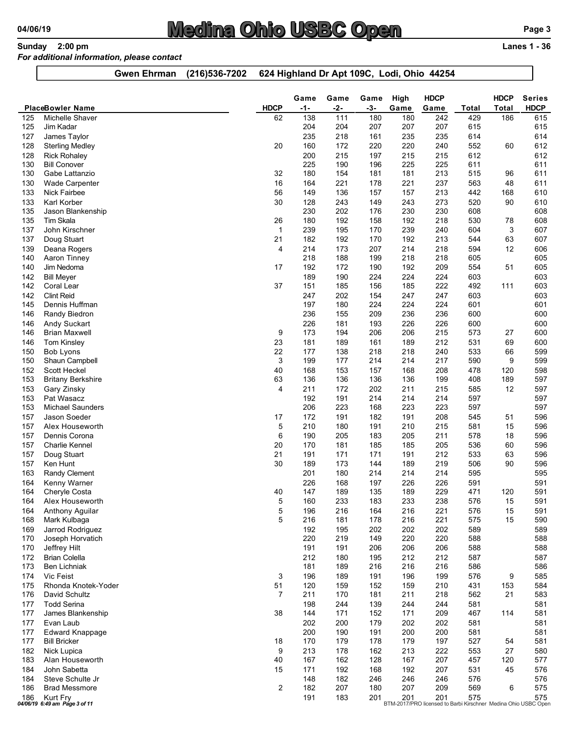# 04/06/19 Medina Ohio USBC Open<br>
Sunday 2:00 pm Lanes 1 - 36<br>
For additional information, please contact<br>
Gwen Ehrman (216)536-7202 624 Highland Dr Apt 109C, Lodi, Ohio 44254

### For additional information, please contact

| 624 Highland Dr Apt 109C, Lodi, Ohio 44254<br>(216) 536-7202<br><b>Gwen Ehrman</b><br><b>HDCP</b><br><b>HDCP</b><br>High<br>Game<br>Game<br>Game<br><b>PlaceBowler Name</b><br><b>HDCP</b><br>$-2-$<br>$-3-$<br>Game<br><b>Total</b><br>Game<br><b>Total</b><br>-1-<br>138<br>Michelle Shaver<br>62<br>111<br>180<br>180<br>242<br>186<br>125<br>429<br>Jim Kadar<br>207<br>125<br>204<br>204<br>207<br>207<br>615<br>235<br>218<br>161<br>235<br>235<br>614<br>127<br>James Taylor<br>160<br>220<br><b>Sterling Medley</b><br>20<br>172<br>220<br>240<br>552<br>60<br>128<br>200<br>197<br>612<br><b>Rick Rohaley</b><br>215<br>215<br>215<br>128<br>225<br>190<br>196<br>225<br>225<br>611<br>130<br><b>Bill Conover</b><br>180<br>154<br>181<br>181<br>213<br>515<br>130<br>Gabe Lattanzio<br>32<br>96<br>Wade Carpenter<br>16<br>164<br>221<br>178<br>221<br>237<br>563<br>130<br>48<br><b>Nick Fairbee</b><br>56<br>149<br>136<br>157<br>157<br>213<br>133<br>442<br>168<br>Karl Korber<br>30<br>128<br>243<br>90<br>133<br>149<br>243<br>273<br>520<br>230<br>202<br>176<br>230<br>230<br>608<br>135<br>Jason Blankenship<br>26<br>192<br>158<br>218<br>135<br>Tim Skala<br>180<br>192<br>530<br>78<br>239<br>170<br>240<br>3<br>John Kirschner<br>195<br>239<br>604<br>137<br>-1<br>182<br>170<br>Doug Stuart<br>21<br>192<br>192<br>213<br>63<br>137<br>544<br>207<br>218<br>12<br>214<br>173<br>214<br>594<br>139<br>Deana Rogers<br>$\overline{\mathcal{A}}$<br>218<br>188<br>199<br>Aaron Tinney<br>218<br>218<br>605<br>140<br>17<br>192<br>172<br>190<br>192<br>209<br>554<br>51<br>140<br>Jim Nedoma<br>189<br>224<br>224<br>190<br>224<br>603<br>142<br><b>Bill Meyer</b><br>222<br>142<br>Coral Lear<br>37<br>151<br>185<br>156<br>185<br>492<br>111<br><b>Clint Reid</b><br>247<br>202<br>154<br>247<br>247<br>603<br>142<br>224<br>224<br>224<br>601<br>Dennis Huffman<br>197<br>180<br>145<br>236<br>209<br>236<br>236<br>600<br>Randy Biedron<br>155<br>146<br>226<br>193<br>226<br>226<br>600<br>Andy Suckart<br>181<br>146<br>173<br>206<br>206<br>194<br>215<br>573<br>146<br><b>Brian Maxwell</b><br>9<br>27<br>23<br>181<br>161<br>189<br>212<br>69<br>Tom Kinsley<br>189<br>531<br>146<br>22<br>177<br>138<br>218<br>218<br>240<br>533<br>66<br>Bob Lyons<br>150<br>3<br>199<br>177<br>214<br>214<br>217<br>590<br>9<br>Shaun Campbell<br>150<br>157<br>168<br>208<br>Scott Heckel<br>40<br>168<br>153<br>478<br>120<br>152<br>63<br>136<br>136<br>136<br>136<br>199<br>408<br>189<br>153<br><b>Britany Berkshire</b><br>12<br>211<br>172<br>202<br>211<br>215<br>585<br>Gary Zinsky<br>153<br>4<br>Pat Wasacz<br>192<br>191<br>214<br>214<br>214<br>597<br>153<br>206<br>223<br>168<br>223<br>223<br>597<br><b>Michael Saunders</b><br>153<br>172<br>182<br>208<br>545<br>Jason Soeder<br>191<br>191<br>51<br>157<br>17<br>210<br>Alex Houseworth<br>180<br>191<br>210<br>215<br>581<br>15<br>157<br>5<br>Dennis Corona<br>190<br>205<br>183<br>205<br>211<br>578<br>18<br>157<br>6<br><b>Charlie Kennel</b><br>20<br>170<br>185<br>185<br>205<br>536<br>60<br>157<br>181<br>21<br>171<br>Doug Stuart<br>191<br>171<br>191<br>212<br>533<br>63<br>157<br>30<br>Ken Hunt<br>189<br>173<br>144<br>189<br>219<br>506<br>90<br>157<br><b>Randy Clement</b><br>180<br>214<br>214<br>595<br>201<br>214<br>163<br>226<br>226<br>168<br>197<br>226<br>591<br>164<br>Kenny Warner<br>147<br>189<br>135<br>189<br>229<br>471<br>120<br>Cheryle Costa<br>40<br>164<br>15<br>160<br>233<br>183<br>233<br>238<br>576<br>Alex Houseworth<br>5<br>164<br>15<br>5<br>196<br>216<br>164<br>216<br>221<br>576<br>164<br>Anthony Aguilar<br>216<br>181<br>178<br>216<br>221<br>575<br>15<br>168<br>Mark Kulbaga<br>202<br>202<br>202<br>589<br>Jarrod Rodriguez<br>192<br>195<br>169<br>220<br>220<br>588<br>219<br>149<br>220<br>Joseph Horvatich<br>170<br>191<br>191<br>206<br>206<br>206<br>588<br>Jeffrey Hilt<br>170<br>212<br>587<br><b>Brian Colella</b><br>180<br>195<br>212<br>212<br>172<br>181<br><b>Ben Lichniak</b><br>189<br>216<br>216<br>216<br>586<br>173<br>Vic Feist<br>196<br>189<br>191<br>196<br>199<br>576<br>174<br>9<br>3<br>120<br>51<br>159<br>152<br>159<br>210<br>431<br>153<br>175<br>Rhonda Knotek-Yoder<br>$\overline{7}$<br>211<br>170<br>181<br>211<br>218<br>562<br>21<br>176<br>David Schultz<br><b>Todd Serina</b><br>198<br>244<br>139<br>244<br>244<br>581<br>177<br>James Blankenship<br>38<br>144<br>171<br>152<br>171<br>209<br>467<br>177<br>114 | 04/06/19 | Sunday 2:00 pm<br>For additional information, please contact | <u>Medina Ohio USBC Open</u> |     |     |     |     |     |     | Page 3<br><b>Lanes 1 - 36</b> |
|------------------------------------------------------------------------------------------------------------------------------------------------------------------------------------------------------------------------------------------------------------------------------------------------------------------------------------------------------------------------------------------------------------------------------------------------------------------------------------------------------------------------------------------------------------------------------------------------------------------------------------------------------------------------------------------------------------------------------------------------------------------------------------------------------------------------------------------------------------------------------------------------------------------------------------------------------------------------------------------------------------------------------------------------------------------------------------------------------------------------------------------------------------------------------------------------------------------------------------------------------------------------------------------------------------------------------------------------------------------------------------------------------------------------------------------------------------------------------------------------------------------------------------------------------------------------------------------------------------------------------------------------------------------------------------------------------------------------------------------------------------------------------------------------------------------------------------------------------------------------------------------------------------------------------------------------------------------------------------------------------------------------------------------------------------------------------------------------------------------------------------------------------------------------------------------------------------------------------------------------------------------------------------------------------------------------------------------------------------------------------------------------------------------------------------------------------------------------------------------------------------------------------------------------------------------------------------------------------------------------------------------------------------------------------------------------------------------------------------------------------------------------------------------------------------------------------------------------------------------------------------------------------------------------------------------------------------------------------------------------------------------------------------------------------------------------------------------------------------------------------------------------------------------------------------------------------------------------------------------------------------------------------------------------------------------------------------------------------------------------------------------------------------------------------------------------------------------------------------------------------------------------------------------------------------------------------------------------------------------------------------------------------------------------------------------------------------------------------------------------------------------------------------------------------------------------------------------------------------------------------------------------------------------------------------------------------------------------------------------------------------------------------------------------------------------------------------------------------------------------------------------------------------------------------------------------------------------------------------------------------------------------------------------------------------------------------------------------------------------------------------------------------------------------------------------------------------------------------------------------------|----------|--------------------------------------------------------------|------------------------------|-----|-----|-----|-----|-----|-----|-------------------------------|
|                                                                                                                                                                                                                                                                                                                                                                                                                                                                                                                                                                                                                                                                                                                                                                                                                                                                                                                                                                                                                                                                                                                                                                                                                                                                                                                                                                                                                                                                                                                                                                                                                                                                                                                                                                                                                                                                                                                                                                                                                                                                                                                                                                                                                                                                                                                                                                                                                                                                                                                                                                                                                                                                                                                                                                                                                                                                                                                                                                                                                                                                                                                                                                                                                                                                                                                                                                                                                                                                                                                                                                                                                                                                                                                                                                                                                                                                                                                                                                                                                                                                                                                                                                                                                                                                                                                                                                                                                                                                                                      |          |                                                              |                              |     |     |     |     |     |     |                               |
| <b>HDCP</b><br>615<br>615<br>614<br>612<br>612<br>611<br>611<br>611<br>610<br>610<br>608<br>608<br>607<br>607<br>606<br>605<br>605<br>603<br>603<br>603<br>601<br>600<br>600<br>600<br>600<br>599<br>599<br>598<br>597<br>597<br>597<br>597<br>596<br>596<br>596<br>596<br>596<br>596<br>595<br>591<br>591<br>591<br>591<br>590<br>589<br>588<br>588<br>587<br>586<br>585<br>584<br>583<br>581<br>581                                                                                                                                                                                                                                                                                                                                                                                                                                                                                                                                                                                                                                                                                                                                                                                                                                                                                                                                                                                                                                                                                                                                                                                                                                                                                                                                                                                                                                                                                                                                                                                                                                                                                                                                                                                                                                                                                                                                                                                                                                                                                                                                                                                                                                                                                                                                                                                                                                                                                                                                                                                                                                                                                                                                                                                                                                                                                                                                                                                                                                                                                                                                                                                                                                                                                                                                                                                                                                                                                                                                                                                                                                                                                                                                                                                                                                                                                                                                                                                                                                                                                                |          |                                                              |                              |     |     |     |     |     |     | <b>Series</b>                 |
|                                                                                                                                                                                                                                                                                                                                                                                                                                                                                                                                                                                                                                                                                                                                                                                                                                                                                                                                                                                                                                                                                                                                                                                                                                                                                                                                                                                                                                                                                                                                                                                                                                                                                                                                                                                                                                                                                                                                                                                                                                                                                                                                                                                                                                                                                                                                                                                                                                                                                                                                                                                                                                                                                                                                                                                                                                                                                                                                                                                                                                                                                                                                                                                                                                                                                                                                                                                                                                                                                                                                                                                                                                                                                                                                                                                                                                                                                                                                                                                                                                                                                                                                                                                                                                                                                                                                                                                                                                                                                                      |          |                                                              |                              |     |     |     |     |     |     |                               |
|                                                                                                                                                                                                                                                                                                                                                                                                                                                                                                                                                                                                                                                                                                                                                                                                                                                                                                                                                                                                                                                                                                                                                                                                                                                                                                                                                                                                                                                                                                                                                                                                                                                                                                                                                                                                                                                                                                                                                                                                                                                                                                                                                                                                                                                                                                                                                                                                                                                                                                                                                                                                                                                                                                                                                                                                                                                                                                                                                                                                                                                                                                                                                                                                                                                                                                                                                                                                                                                                                                                                                                                                                                                                                                                                                                                                                                                                                                                                                                                                                                                                                                                                                                                                                                                                                                                                                                                                                                                                                                      |          |                                                              |                              |     |     |     |     |     |     |                               |
|                                                                                                                                                                                                                                                                                                                                                                                                                                                                                                                                                                                                                                                                                                                                                                                                                                                                                                                                                                                                                                                                                                                                                                                                                                                                                                                                                                                                                                                                                                                                                                                                                                                                                                                                                                                                                                                                                                                                                                                                                                                                                                                                                                                                                                                                                                                                                                                                                                                                                                                                                                                                                                                                                                                                                                                                                                                                                                                                                                                                                                                                                                                                                                                                                                                                                                                                                                                                                                                                                                                                                                                                                                                                                                                                                                                                                                                                                                                                                                                                                                                                                                                                                                                                                                                                                                                                                                                                                                                                                                      |          |                                                              |                              |     |     |     |     |     |     |                               |
|                                                                                                                                                                                                                                                                                                                                                                                                                                                                                                                                                                                                                                                                                                                                                                                                                                                                                                                                                                                                                                                                                                                                                                                                                                                                                                                                                                                                                                                                                                                                                                                                                                                                                                                                                                                                                                                                                                                                                                                                                                                                                                                                                                                                                                                                                                                                                                                                                                                                                                                                                                                                                                                                                                                                                                                                                                                                                                                                                                                                                                                                                                                                                                                                                                                                                                                                                                                                                                                                                                                                                                                                                                                                                                                                                                                                                                                                                                                                                                                                                                                                                                                                                                                                                                                                                                                                                                                                                                                                                                      |          |                                                              |                              |     |     |     |     |     |     |                               |
|                                                                                                                                                                                                                                                                                                                                                                                                                                                                                                                                                                                                                                                                                                                                                                                                                                                                                                                                                                                                                                                                                                                                                                                                                                                                                                                                                                                                                                                                                                                                                                                                                                                                                                                                                                                                                                                                                                                                                                                                                                                                                                                                                                                                                                                                                                                                                                                                                                                                                                                                                                                                                                                                                                                                                                                                                                                                                                                                                                                                                                                                                                                                                                                                                                                                                                                                                                                                                                                                                                                                                                                                                                                                                                                                                                                                                                                                                                                                                                                                                                                                                                                                                                                                                                                                                                                                                                                                                                                                                                      |          |                                                              |                              |     |     |     |     |     |     |                               |
|                                                                                                                                                                                                                                                                                                                                                                                                                                                                                                                                                                                                                                                                                                                                                                                                                                                                                                                                                                                                                                                                                                                                                                                                                                                                                                                                                                                                                                                                                                                                                                                                                                                                                                                                                                                                                                                                                                                                                                                                                                                                                                                                                                                                                                                                                                                                                                                                                                                                                                                                                                                                                                                                                                                                                                                                                                                                                                                                                                                                                                                                                                                                                                                                                                                                                                                                                                                                                                                                                                                                                                                                                                                                                                                                                                                                                                                                                                                                                                                                                                                                                                                                                                                                                                                                                                                                                                                                                                                                                                      |          |                                                              |                              |     |     |     |     |     |     |                               |
|                                                                                                                                                                                                                                                                                                                                                                                                                                                                                                                                                                                                                                                                                                                                                                                                                                                                                                                                                                                                                                                                                                                                                                                                                                                                                                                                                                                                                                                                                                                                                                                                                                                                                                                                                                                                                                                                                                                                                                                                                                                                                                                                                                                                                                                                                                                                                                                                                                                                                                                                                                                                                                                                                                                                                                                                                                                                                                                                                                                                                                                                                                                                                                                                                                                                                                                                                                                                                                                                                                                                                                                                                                                                                                                                                                                                                                                                                                                                                                                                                                                                                                                                                                                                                                                                                                                                                                                                                                                                                                      |          |                                                              |                              |     |     |     |     |     |     |                               |
|                                                                                                                                                                                                                                                                                                                                                                                                                                                                                                                                                                                                                                                                                                                                                                                                                                                                                                                                                                                                                                                                                                                                                                                                                                                                                                                                                                                                                                                                                                                                                                                                                                                                                                                                                                                                                                                                                                                                                                                                                                                                                                                                                                                                                                                                                                                                                                                                                                                                                                                                                                                                                                                                                                                                                                                                                                                                                                                                                                                                                                                                                                                                                                                                                                                                                                                                                                                                                                                                                                                                                                                                                                                                                                                                                                                                                                                                                                                                                                                                                                                                                                                                                                                                                                                                                                                                                                                                                                                                                                      |          |                                                              |                              |     |     |     |     |     |     |                               |
|                                                                                                                                                                                                                                                                                                                                                                                                                                                                                                                                                                                                                                                                                                                                                                                                                                                                                                                                                                                                                                                                                                                                                                                                                                                                                                                                                                                                                                                                                                                                                                                                                                                                                                                                                                                                                                                                                                                                                                                                                                                                                                                                                                                                                                                                                                                                                                                                                                                                                                                                                                                                                                                                                                                                                                                                                                                                                                                                                                                                                                                                                                                                                                                                                                                                                                                                                                                                                                                                                                                                                                                                                                                                                                                                                                                                                                                                                                                                                                                                                                                                                                                                                                                                                                                                                                                                                                                                                                                                                                      |          |                                                              |                              |     |     |     |     |     |     |                               |
|                                                                                                                                                                                                                                                                                                                                                                                                                                                                                                                                                                                                                                                                                                                                                                                                                                                                                                                                                                                                                                                                                                                                                                                                                                                                                                                                                                                                                                                                                                                                                                                                                                                                                                                                                                                                                                                                                                                                                                                                                                                                                                                                                                                                                                                                                                                                                                                                                                                                                                                                                                                                                                                                                                                                                                                                                                                                                                                                                                                                                                                                                                                                                                                                                                                                                                                                                                                                                                                                                                                                                                                                                                                                                                                                                                                                                                                                                                                                                                                                                                                                                                                                                                                                                                                                                                                                                                                                                                                                                                      |          |                                                              |                              |     |     |     |     |     |     |                               |
|                                                                                                                                                                                                                                                                                                                                                                                                                                                                                                                                                                                                                                                                                                                                                                                                                                                                                                                                                                                                                                                                                                                                                                                                                                                                                                                                                                                                                                                                                                                                                                                                                                                                                                                                                                                                                                                                                                                                                                                                                                                                                                                                                                                                                                                                                                                                                                                                                                                                                                                                                                                                                                                                                                                                                                                                                                                                                                                                                                                                                                                                                                                                                                                                                                                                                                                                                                                                                                                                                                                                                                                                                                                                                                                                                                                                                                                                                                                                                                                                                                                                                                                                                                                                                                                                                                                                                                                                                                                                                                      |          |                                                              |                              |     |     |     |     |     |     |                               |
|                                                                                                                                                                                                                                                                                                                                                                                                                                                                                                                                                                                                                                                                                                                                                                                                                                                                                                                                                                                                                                                                                                                                                                                                                                                                                                                                                                                                                                                                                                                                                                                                                                                                                                                                                                                                                                                                                                                                                                                                                                                                                                                                                                                                                                                                                                                                                                                                                                                                                                                                                                                                                                                                                                                                                                                                                                                                                                                                                                                                                                                                                                                                                                                                                                                                                                                                                                                                                                                                                                                                                                                                                                                                                                                                                                                                                                                                                                                                                                                                                                                                                                                                                                                                                                                                                                                                                                                                                                                                                                      |          |                                                              |                              |     |     |     |     |     |     |                               |
|                                                                                                                                                                                                                                                                                                                                                                                                                                                                                                                                                                                                                                                                                                                                                                                                                                                                                                                                                                                                                                                                                                                                                                                                                                                                                                                                                                                                                                                                                                                                                                                                                                                                                                                                                                                                                                                                                                                                                                                                                                                                                                                                                                                                                                                                                                                                                                                                                                                                                                                                                                                                                                                                                                                                                                                                                                                                                                                                                                                                                                                                                                                                                                                                                                                                                                                                                                                                                                                                                                                                                                                                                                                                                                                                                                                                                                                                                                                                                                                                                                                                                                                                                                                                                                                                                                                                                                                                                                                                                                      |          |                                                              |                              |     |     |     |     |     |     |                               |
|                                                                                                                                                                                                                                                                                                                                                                                                                                                                                                                                                                                                                                                                                                                                                                                                                                                                                                                                                                                                                                                                                                                                                                                                                                                                                                                                                                                                                                                                                                                                                                                                                                                                                                                                                                                                                                                                                                                                                                                                                                                                                                                                                                                                                                                                                                                                                                                                                                                                                                                                                                                                                                                                                                                                                                                                                                                                                                                                                                                                                                                                                                                                                                                                                                                                                                                                                                                                                                                                                                                                                                                                                                                                                                                                                                                                                                                                                                                                                                                                                                                                                                                                                                                                                                                                                                                                                                                                                                                                                                      |          |                                                              |                              |     |     |     |     |     |     |                               |
|                                                                                                                                                                                                                                                                                                                                                                                                                                                                                                                                                                                                                                                                                                                                                                                                                                                                                                                                                                                                                                                                                                                                                                                                                                                                                                                                                                                                                                                                                                                                                                                                                                                                                                                                                                                                                                                                                                                                                                                                                                                                                                                                                                                                                                                                                                                                                                                                                                                                                                                                                                                                                                                                                                                                                                                                                                                                                                                                                                                                                                                                                                                                                                                                                                                                                                                                                                                                                                                                                                                                                                                                                                                                                                                                                                                                                                                                                                                                                                                                                                                                                                                                                                                                                                                                                                                                                                                                                                                                                                      |          |                                                              |                              |     |     |     |     |     |     |                               |
|                                                                                                                                                                                                                                                                                                                                                                                                                                                                                                                                                                                                                                                                                                                                                                                                                                                                                                                                                                                                                                                                                                                                                                                                                                                                                                                                                                                                                                                                                                                                                                                                                                                                                                                                                                                                                                                                                                                                                                                                                                                                                                                                                                                                                                                                                                                                                                                                                                                                                                                                                                                                                                                                                                                                                                                                                                                                                                                                                                                                                                                                                                                                                                                                                                                                                                                                                                                                                                                                                                                                                                                                                                                                                                                                                                                                                                                                                                                                                                                                                                                                                                                                                                                                                                                                                                                                                                                                                                                                                                      |          |                                                              |                              |     |     |     |     |     |     |                               |
|                                                                                                                                                                                                                                                                                                                                                                                                                                                                                                                                                                                                                                                                                                                                                                                                                                                                                                                                                                                                                                                                                                                                                                                                                                                                                                                                                                                                                                                                                                                                                                                                                                                                                                                                                                                                                                                                                                                                                                                                                                                                                                                                                                                                                                                                                                                                                                                                                                                                                                                                                                                                                                                                                                                                                                                                                                                                                                                                                                                                                                                                                                                                                                                                                                                                                                                                                                                                                                                                                                                                                                                                                                                                                                                                                                                                                                                                                                                                                                                                                                                                                                                                                                                                                                                                                                                                                                                                                                                                                                      |          |                                                              |                              |     |     |     |     |     |     |                               |
|                                                                                                                                                                                                                                                                                                                                                                                                                                                                                                                                                                                                                                                                                                                                                                                                                                                                                                                                                                                                                                                                                                                                                                                                                                                                                                                                                                                                                                                                                                                                                                                                                                                                                                                                                                                                                                                                                                                                                                                                                                                                                                                                                                                                                                                                                                                                                                                                                                                                                                                                                                                                                                                                                                                                                                                                                                                                                                                                                                                                                                                                                                                                                                                                                                                                                                                                                                                                                                                                                                                                                                                                                                                                                                                                                                                                                                                                                                                                                                                                                                                                                                                                                                                                                                                                                                                                                                                                                                                                                                      |          |                                                              |                              |     |     |     |     |     |     |                               |
|                                                                                                                                                                                                                                                                                                                                                                                                                                                                                                                                                                                                                                                                                                                                                                                                                                                                                                                                                                                                                                                                                                                                                                                                                                                                                                                                                                                                                                                                                                                                                                                                                                                                                                                                                                                                                                                                                                                                                                                                                                                                                                                                                                                                                                                                                                                                                                                                                                                                                                                                                                                                                                                                                                                                                                                                                                                                                                                                                                                                                                                                                                                                                                                                                                                                                                                                                                                                                                                                                                                                                                                                                                                                                                                                                                                                                                                                                                                                                                                                                                                                                                                                                                                                                                                                                                                                                                                                                                                                                                      |          |                                                              |                              |     |     |     |     |     |     |                               |
|                                                                                                                                                                                                                                                                                                                                                                                                                                                                                                                                                                                                                                                                                                                                                                                                                                                                                                                                                                                                                                                                                                                                                                                                                                                                                                                                                                                                                                                                                                                                                                                                                                                                                                                                                                                                                                                                                                                                                                                                                                                                                                                                                                                                                                                                                                                                                                                                                                                                                                                                                                                                                                                                                                                                                                                                                                                                                                                                                                                                                                                                                                                                                                                                                                                                                                                                                                                                                                                                                                                                                                                                                                                                                                                                                                                                                                                                                                                                                                                                                                                                                                                                                                                                                                                                                                                                                                                                                                                                                                      |          |                                                              |                              |     |     |     |     |     |     |                               |
|                                                                                                                                                                                                                                                                                                                                                                                                                                                                                                                                                                                                                                                                                                                                                                                                                                                                                                                                                                                                                                                                                                                                                                                                                                                                                                                                                                                                                                                                                                                                                                                                                                                                                                                                                                                                                                                                                                                                                                                                                                                                                                                                                                                                                                                                                                                                                                                                                                                                                                                                                                                                                                                                                                                                                                                                                                                                                                                                                                                                                                                                                                                                                                                                                                                                                                                                                                                                                                                                                                                                                                                                                                                                                                                                                                                                                                                                                                                                                                                                                                                                                                                                                                                                                                                                                                                                                                                                                                                                                                      |          |                                                              |                              |     |     |     |     |     |     |                               |
|                                                                                                                                                                                                                                                                                                                                                                                                                                                                                                                                                                                                                                                                                                                                                                                                                                                                                                                                                                                                                                                                                                                                                                                                                                                                                                                                                                                                                                                                                                                                                                                                                                                                                                                                                                                                                                                                                                                                                                                                                                                                                                                                                                                                                                                                                                                                                                                                                                                                                                                                                                                                                                                                                                                                                                                                                                                                                                                                                                                                                                                                                                                                                                                                                                                                                                                                                                                                                                                                                                                                                                                                                                                                                                                                                                                                                                                                                                                                                                                                                                                                                                                                                                                                                                                                                                                                                                                                                                                                                                      |          |                                                              |                              |     |     |     |     |     |     |                               |
|                                                                                                                                                                                                                                                                                                                                                                                                                                                                                                                                                                                                                                                                                                                                                                                                                                                                                                                                                                                                                                                                                                                                                                                                                                                                                                                                                                                                                                                                                                                                                                                                                                                                                                                                                                                                                                                                                                                                                                                                                                                                                                                                                                                                                                                                                                                                                                                                                                                                                                                                                                                                                                                                                                                                                                                                                                                                                                                                                                                                                                                                                                                                                                                                                                                                                                                                                                                                                                                                                                                                                                                                                                                                                                                                                                                                                                                                                                                                                                                                                                                                                                                                                                                                                                                                                                                                                                                                                                                                                                      |          |                                                              |                              |     |     |     |     |     |     |                               |
|                                                                                                                                                                                                                                                                                                                                                                                                                                                                                                                                                                                                                                                                                                                                                                                                                                                                                                                                                                                                                                                                                                                                                                                                                                                                                                                                                                                                                                                                                                                                                                                                                                                                                                                                                                                                                                                                                                                                                                                                                                                                                                                                                                                                                                                                                                                                                                                                                                                                                                                                                                                                                                                                                                                                                                                                                                                                                                                                                                                                                                                                                                                                                                                                                                                                                                                                                                                                                                                                                                                                                                                                                                                                                                                                                                                                                                                                                                                                                                                                                                                                                                                                                                                                                                                                                                                                                                                                                                                                                                      |          |                                                              |                              |     |     |     |     |     |     |                               |
|                                                                                                                                                                                                                                                                                                                                                                                                                                                                                                                                                                                                                                                                                                                                                                                                                                                                                                                                                                                                                                                                                                                                                                                                                                                                                                                                                                                                                                                                                                                                                                                                                                                                                                                                                                                                                                                                                                                                                                                                                                                                                                                                                                                                                                                                                                                                                                                                                                                                                                                                                                                                                                                                                                                                                                                                                                                                                                                                                                                                                                                                                                                                                                                                                                                                                                                                                                                                                                                                                                                                                                                                                                                                                                                                                                                                                                                                                                                                                                                                                                                                                                                                                                                                                                                                                                                                                                                                                                                                                                      |          |                                                              |                              |     |     |     |     |     |     |                               |
|                                                                                                                                                                                                                                                                                                                                                                                                                                                                                                                                                                                                                                                                                                                                                                                                                                                                                                                                                                                                                                                                                                                                                                                                                                                                                                                                                                                                                                                                                                                                                                                                                                                                                                                                                                                                                                                                                                                                                                                                                                                                                                                                                                                                                                                                                                                                                                                                                                                                                                                                                                                                                                                                                                                                                                                                                                                                                                                                                                                                                                                                                                                                                                                                                                                                                                                                                                                                                                                                                                                                                                                                                                                                                                                                                                                                                                                                                                                                                                                                                                                                                                                                                                                                                                                                                                                                                                                                                                                                                                      |          |                                                              |                              |     |     |     |     |     |     |                               |
|                                                                                                                                                                                                                                                                                                                                                                                                                                                                                                                                                                                                                                                                                                                                                                                                                                                                                                                                                                                                                                                                                                                                                                                                                                                                                                                                                                                                                                                                                                                                                                                                                                                                                                                                                                                                                                                                                                                                                                                                                                                                                                                                                                                                                                                                                                                                                                                                                                                                                                                                                                                                                                                                                                                                                                                                                                                                                                                                                                                                                                                                                                                                                                                                                                                                                                                                                                                                                                                                                                                                                                                                                                                                                                                                                                                                                                                                                                                                                                                                                                                                                                                                                                                                                                                                                                                                                                                                                                                                                                      |          |                                                              |                              |     |     |     |     |     |     |                               |
|                                                                                                                                                                                                                                                                                                                                                                                                                                                                                                                                                                                                                                                                                                                                                                                                                                                                                                                                                                                                                                                                                                                                                                                                                                                                                                                                                                                                                                                                                                                                                                                                                                                                                                                                                                                                                                                                                                                                                                                                                                                                                                                                                                                                                                                                                                                                                                                                                                                                                                                                                                                                                                                                                                                                                                                                                                                                                                                                                                                                                                                                                                                                                                                                                                                                                                                                                                                                                                                                                                                                                                                                                                                                                                                                                                                                                                                                                                                                                                                                                                                                                                                                                                                                                                                                                                                                                                                                                                                                                                      |          |                                                              |                              |     |     |     |     |     |     |                               |
|                                                                                                                                                                                                                                                                                                                                                                                                                                                                                                                                                                                                                                                                                                                                                                                                                                                                                                                                                                                                                                                                                                                                                                                                                                                                                                                                                                                                                                                                                                                                                                                                                                                                                                                                                                                                                                                                                                                                                                                                                                                                                                                                                                                                                                                                                                                                                                                                                                                                                                                                                                                                                                                                                                                                                                                                                                                                                                                                                                                                                                                                                                                                                                                                                                                                                                                                                                                                                                                                                                                                                                                                                                                                                                                                                                                                                                                                                                                                                                                                                                                                                                                                                                                                                                                                                                                                                                                                                                                                                                      |          |                                                              |                              |     |     |     |     |     |     |                               |
|                                                                                                                                                                                                                                                                                                                                                                                                                                                                                                                                                                                                                                                                                                                                                                                                                                                                                                                                                                                                                                                                                                                                                                                                                                                                                                                                                                                                                                                                                                                                                                                                                                                                                                                                                                                                                                                                                                                                                                                                                                                                                                                                                                                                                                                                                                                                                                                                                                                                                                                                                                                                                                                                                                                                                                                                                                                                                                                                                                                                                                                                                                                                                                                                                                                                                                                                                                                                                                                                                                                                                                                                                                                                                                                                                                                                                                                                                                                                                                                                                                                                                                                                                                                                                                                                                                                                                                                                                                                                                                      |          |                                                              |                              |     |     |     |     |     |     |                               |
|                                                                                                                                                                                                                                                                                                                                                                                                                                                                                                                                                                                                                                                                                                                                                                                                                                                                                                                                                                                                                                                                                                                                                                                                                                                                                                                                                                                                                                                                                                                                                                                                                                                                                                                                                                                                                                                                                                                                                                                                                                                                                                                                                                                                                                                                                                                                                                                                                                                                                                                                                                                                                                                                                                                                                                                                                                                                                                                                                                                                                                                                                                                                                                                                                                                                                                                                                                                                                                                                                                                                                                                                                                                                                                                                                                                                                                                                                                                                                                                                                                                                                                                                                                                                                                                                                                                                                                                                                                                                                                      |          |                                                              |                              |     |     |     |     |     |     |                               |
|                                                                                                                                                                                                                                                                                                                                                                                                                                                                                                                                                                                                                                                                                                                                                                                                                                                                                                                                                                                                                                                                                                                                                                                                                                                                                                                                                                                                                                                                                                                                                                                                                                                                                                                                                                                                                                                                                                                                                                                                                                                                                                                                                                                                                                                                                                                                                                                                                                                                                                                                                                                                                                                                                                                                                                                                                                                                                                                                                                                                                                                                                                                                                                                                                                                                                                                                                                                                                                                                                                                                                                                                                                                                                                                                                                                                                                                                                                                                                                                                                                                                                                                                                                                                                                                                                                                                                                                                                                                                                                      |          |                                                              |                              |     |     |     |     |     |     |                               |
|                                                                                                                                                                                                                                                                                                                                                                                                                                                                                                                                                                                                                                                                                                                                                                                                                                                                                                                                                                                                                                                                                                                                                                                                                                                                                                                                                                                                                                                                                                                                                                                                                                                                                                                                                                                                                                                                                                                                                                                                                                                                                                                                                                                                                                                                                                                                                                                                                                                                                                                                                                                                                                                                                                                                                                                                                                                                                                                                                                                                                                                                                                                                                                                                                                                                                                                                                                                                                                                                                                                                                                                                                                                                                                                                                                                                                                                                                                                                                                                                                                                                                                                                                                                                                                                                                                                                                                                                                                                                                                      |          |                                                              |                              |     |     |     |     |     |     |                               |
|                                                                                                                                                                                                                                                                                                                                                                                                                                                                                                                                                                                                                                                                                                                                                                                                                                                                                                                                                                                                                                                                                                                                                                                                                                                                                                                                                                                                                                                                                                                                                                                                                                                                                                                                                                                                                                                                                                                                                                                                                                                                                                                                                                                                                                                                                                                                                                                                                                                                                                                                                                                                                                                                                                                                                                                                                                                                                                                                                                                                                                                                                                                                                                                                                                                                                                                                                                                                                                                                                                                                                                                                                                                                                                                                                                                                                                                                                                                                                                                                                                                                                                                                                                                                                                                                                                                                                                                                                                                                                                      |          |                                                              |                              |     |     |     |     |     |     |                               |
|                                                                                                                                                                                                                                                                                                                                                                                                                                                                                                                                                                                                                                                                                                                                                                                                                                                                                                                                                                                                                                                                                                                                                                                                                                                                                                                                                                                                                                                                                                                                                                                                                                                                                                                                                                                                                                                                                                                                                                                                                                                                                                                                                                                                                                                                                                                                                                                                                                                                                                                                                                                                                                                                                                                                                                                                                                                                                                                                                                                                                                                                                                                                                                                                                                                                                                                                                                                                                                                                                                                                                                                                                                                                                                                                                                                                                                                                                                                                                                                                                                                                                                                                                                                                                                                                                                                                                                                                                                                                                                      |          |                                                              |                              |     |     |     |     |     |     |                               |
|                                                                                                                                                                                                                                                                                                                                                                                                                                                                                                                                                                                                                                                                                                                                                                                                                                                                                                                                                                                                                                                                                                                                                                                                                                                                                                                                                                                                                                                                                                                                                                                                                                                                                                                                                                                                                                                                                                                                                                                                                                                                                                                                                                                                                                                                                                                                                                                                                                                                                                                                                                                                                                                                                                                                                                                                                                                                                                                                                                                                                                                                                                                                                                                                                                                                                                                                                                                                                                                                                                                                                                                                                                                                                                                                                                                                                                                                                                                                                                                                                                                                                                                                                                                                                                                                                                                                                                                                                                                                                                      |          |                                                              |                              |     |     |     |     |     |     |                               |
|                                                                                                                                                                                                                                                                                                                                                                                                                                                                                                                                                                                                                                                                                                                                                                                                                                                                                                                                                                                                                                                                                                                                                                                                                                                                                                                                                                                                                                                                                                                                                                                                                                                                                                                                                                                                                                                                                                                                                                                                                                                                                                                                                                                                                                                                                                                                                                                                                                                                                                                                                                                                                                                                                                                                                                                                                                                                                                                                                                                                                                                                                                                                                                                                                                                                                                                                                                                                                                                                                                                                                                                                                                                                                                                                                                                                                                                                                                                                                                                                                                                                                                                                                                                                                                                                                                                                                                                                                                                                                                      | 177      | Evan Laub                                                    |                              | 202 | 200 | 179 | 202 | 202 | 581 | 581                           |
| 200<br>190<br>191<br>200<br>581<br>581<br>177<br><b>Edward Knappage</b><br>200<br>54<br>18<br>170<br>178<br>177<br>179<br>179<br>527<br>197<br>Bill Bricker<br>581                                                                                                                                                                                                                                                                                                                                                                                                                                                                                                                                                                                                                                                                                                                                                                                                                                                                                                                                                                                                                                                                                                                                                                                                                                                                                                                                                                                                                                                                                                                                                                                                                                                                                                                                                                                                                                                                                                                                                                                                                                                                                                                                                                                                                                                                                                                                                                                                                                                                                                                                                                                                                                                                                                                                                                                                                                                                                                                                                                                                                                                                                                                                                                                                                                                                                                                                                                                                                                                                                                                                                                                                                                                                                                                                                                                                                                                                                                                                                                                                                                                                                                                                                                                                                                                                                                                                   |          |                                                              |                              |     |     |     |     |     |     |                               |
| 27<br>580<br>182<br>9<br>213<br>178<br>162<br>213<br>222<br>553<br>Nick Lupica                                                                                                                                                                                                                                                                                                                                                                                                                                                                                                                                                                                                                                                                                                                                                                                                                                                                                                                                                                                                                                                                                                                                                                                                                                                                                                                                                                                                                                                                                                                                                                                                                                                                                                                                                                                                                                                                                                                                                                                                                                                                                                                                                                                                                                                                                                                                                                                                                                                                                                                                                                                                                                                                                                                                                                                                                                                                                                                                                                                                                                                                                                                                                                                                                                                                                                                                                                                                                                                                                                                                                                                                                                                                                                                                                                                                                                                                                                                                                                                                                                                                                                                                                                                                                                                                                                                                                                                                                       |          |                                                              |                              |     |     |     |     |     |     |                               |
| Alan Houseworth<br>167<br>207<br>183<br>40<br>162<br>128<br>167<br>457<br>120<br>577<br>John Sabetta<br>15<br>171<br>184<br>192<br>168<br>192<br>207<br>531<br>45<br>576                                                                                                                                                                                                                                                                                                                                                                                                                                                                                                                                                                                                                                                                                                                                                                                                                                                                                                                                                                                                                                                                                                                                                                                                                                                                                                                                                                                                                                                                                                                                                                                                                                                                                                                                                                                                                                                                                                                                                                                                                                                                                                                                                                                                                                                                                                                                                                                                                                                                                                                                                                                                                                                                                                                                                                                                                                                                                                                                                                                                                                                                                                                                                                                                                                                                                                                                                                                                                                                                                                                                                                                                                                                                                                                                                                                                                                                                                                                                                                                                                                                                                                                                                                                                                                                                                                                             |          |                                                              |                              |     |     |     |     |     |     |                               |
| Steve Schulte Jr<br>148<br>182<br>246<br>246<br>246<br>576<br>576<br>184                                                                                                                                                                                                                                                                                                                                                                                                                                                                                                                                                                                                                                                                                                                                                                                                                                                                                                                                                                                                                                                                                                                                                                                                                                                                                                                                                                                                                                                                                                                                                                                                                                                                                                                                                                                                                                                                                                                                                                                                                                                                                                                                                                                                                                                                                                                                                                                                                                                                                                                                                                                                                                                                                                                                                                                                                                                                                                                                                                                                                                                                                                                                                                                                                                                                                                                                                                                                                                                                                                                                                                                                                                                                                                                                                                                                                                                                                                                                                                                                                                                                                                                                                                                                                                                                                                                                                                                                                             |          |                                                              |                              |     |     |     |     |     |     |                               |
| 575<br><b>Brad Messmore</b><br>182<br>180<br>209<br>569<br>186<br>$\overline{2}$<br>207<br>207<br>6<br>191<br>183<br>186 Kurt Fry<br>04/06/19 6:49 am Page 3 of 11<br>201<br>201 201 575<br>BTM-2017/PRO licensed to Barbi Kirschner Medina Ohio USBC Open                                                                                                                                                                                                                                                                                                                                                                                                                                                                                                                                                                                                                                                                                                                                                                                                                                                                                                                                                                                                                                                                                                                                                                                                                                                                                                                                                                                                                                                                                                                                                                                                                                                                                                                                                                                                                                                                                                                                                                                                                                                                                                                                                                                                                                                                                                                                                                                                                                                                                                                                                                                                                                                                                                                                                                                                                                                                                                                                                                                                                                                                                                                                                                                                                                                                                                                                                                                                                                                                                                                                                                                                                                                                                                                                                                                                                                                                                                                                                                                                                                                                                                                                                                                                                                           |          |                                                              |                              |     |     |     |     |     |     |                               |